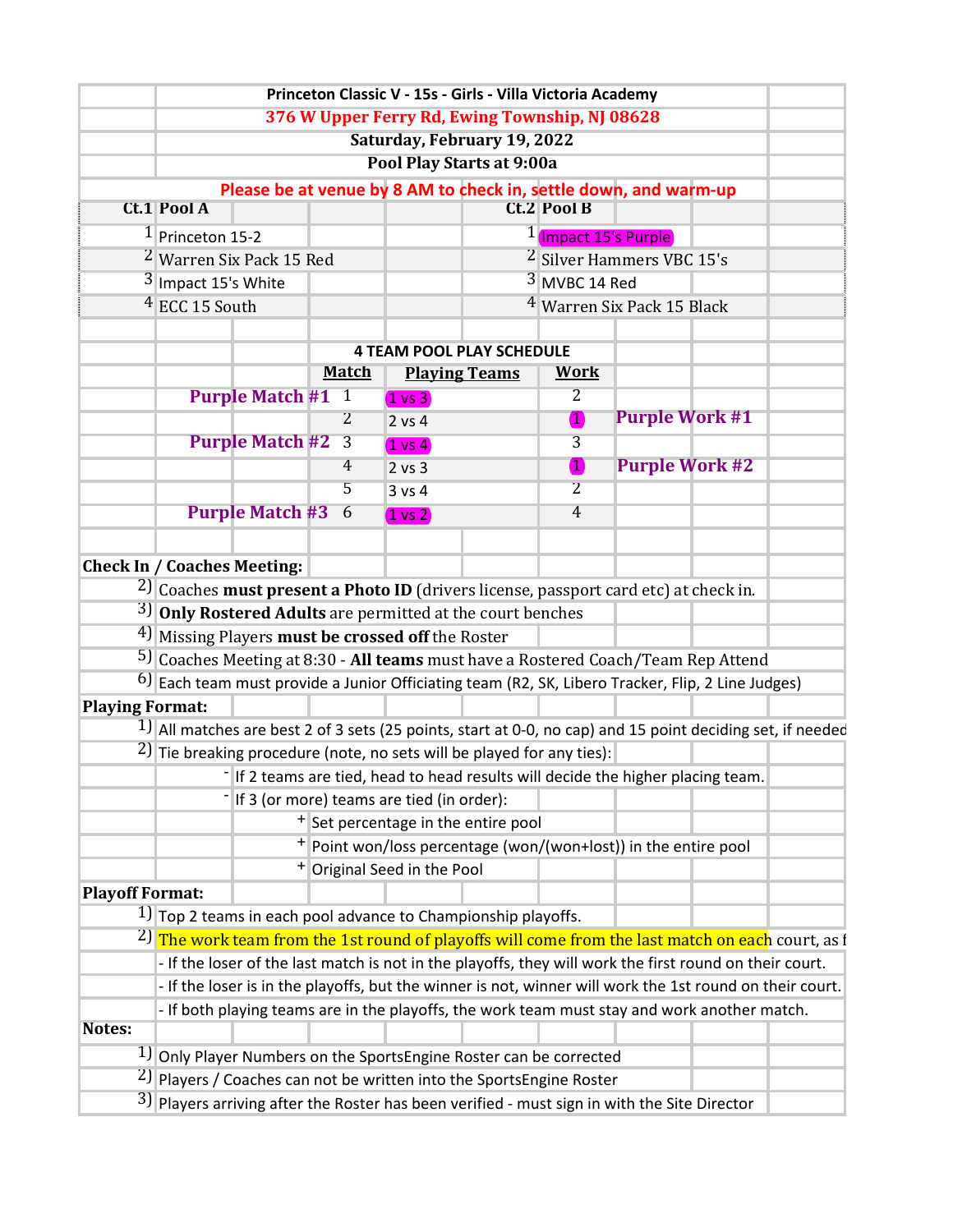|                        |                                                                                                          |                                                                                  |  |                |                                        | Princeton Classic V - 15s - Girls - Villa Victoria Academy                                                    |                                       |                       |  |  |  |  |
|------------------------|----------------------------------------------------------------------------------------------------------|----------------------------------------------------------------------------------|--|----------------|----------------------------------------|---------------------------------------------------------------------------------------------------------------|---------------------------------------|-----------------------|--|--|--|--|
|                        |                                                                                                          |                                                                                  |  |                |                                        | 376 W Upper Ferry Rd, Ewing Township, NJ 08628                                                                |                                       |                       |  |  |  |  |
|                        | Saturday, February 19, 2022<br>Pool Play Starts at 9:00a                                                 |                                                                                  |  |                |                                        |                                                                                                               |                                       |                       |  |  |  |  |
|                        |                                                                                                          |                                                                                  |  |                |                                        |                                                                                                               |                                       |                       |  |  |  |  |
|                        |                                                                                                          |                                                                                  |  |                |                                        | Please be at venue by 8 AM to check in, settle down, and warm-up                                              |                                       |                       |  |  |  |  |
|                        | <b>Ct.1 Pool A</b>                                                                                       |                                                                                  |  |                |                                        |                                                                                                               | <b>Ct.2 Pool B</b>                    |                       |  |  |  |  |
|                        | $1$ Princeton 15-2                                                                                       |                                                                                  |  |                |                                        |                                                                                                               | <sup>1</sup> (Impact 15's Purple)     |                       |  |  |  |  |
|                        | <sup>2</sup> Warren Six Pack 15 Red                                                                      |                                                                                  |  |                |                                        |                                                                                                               | <sup>2</sup> Silver Hammers VBC 15's  |                       |  |  |  |  |
|                        | $3$ Impact 15's White                                                                                    |                                                                                  |  |                |                                        |                                                                                                               | 3 MVBC 14 Red                         |                       |  |  |  |  |
|                        | $4$ ECC 15 South                                                                                         |                                                                                  |  |                |                                        |                                                                                                               | <sup>4</sup> Warren Six Pack 15 Black |                       |  |  |  |  |
|                        |                                                                                                          |                                                                                  |  |                |                                        |                                                                                                               |                                       |                       |  |  |  |  |
|                        | <b>4 TEAM POOL PLAY SCHEDULE</b>                                                                         |                                                                                  |  |                |                                        |                                                                                                               |                                       |                       |  |  |  |  |
|                        |                                                                                                          |                                                                                  |  | <u>Match</u>   |                                        | <b>Playing Teams</b>                                                                                          | <b>Work</b>                           |                       |  |  |  |  |
|                        |                                                                                                          | <b>Purple Match #1 1</b>                                                         |  |                | $1 \text{ vs } 3$                      |                                                                                                               | $\overline{2}$                        |                       |  |  |  |  |
|                        |                                                                                                          |                                                                                  |  | $\overline{2}$ | $2$ vs $4$                             |                                                                                                               | 1                                     | <b>Purple Work #1</b> |  |  |  |  |
|                        |                                                                                                          | <b>Purple Match #2</b>                                                           |  | $\overline{3}$ | $(1 \text{ vs } 4)$                    |                                                                                                               | 3                                     |                       |  |  |  |  |
|                        |                                                                                                          |                                                                                  |  | 4              | $2$ vs $3$                             |                                                                                                               | 0                                     | <b>Purple Work #2</b> |  |  |  |  |
|                        |                                                                                                          |                                                                                  |  | 5              | 3 v s 4                                |                                                                                                               | $\overline{2}$                        |                       |  |  |  |  |
|                        |                                                                                                          | <b>Purple Match #3 6</b>                                                         |  |                | $(1 \text{ vs } 2)$                    |                                                                                                               | $\overline{4}$                        |                       |  |  |  |  |
|                        |                                                                                                          |                                                                                  |  |                |                                        |                                                                                                               |                                       |                       |  |  |  |  |
|                        | <b>Check In / Coaches Meeting:</b>                                                                       |                                                                                  |  |                |                                        |                                                                                                               |                                       |                       |  |  |  |  |
|                        |                                                                                                          |                                                                                  |  |                |                                        | <sup>2</sup> ) Coaches must present a Photo ID (drivers license, passport card etc) at check in.              |                                       |                       |  |  |  |  |
|                        | $3$ Only Rostered Adults are permitted at the court benches                                              |                                                                                  |  |                |                                        |                                                                                                               |                                       |                       |  |  |  |  |
|                        | <sup>4</sup> ) Missing Players <b>must be crossed off</b> the Roster                                     |                                                                                  |  |                |                                        |                                                                                                               |                                       |                       |  |  |  |  |
|                        | 5) Coaches Meeting at 8:30 - All teams must have a Rostered Coach/Team Rep Attend                        |                                                                                  |  |                |                                        |                                                                                                               |                                       |                       |  |  |  |  |
|                        |                                                                                                          |                                                                                  |  |                |                                        | 6) Each team must provide a Junior Officiating team (R2, SK, Libero Tracker, Flip, 2 Line Judges)             |                                       |                       |  |  |  |  |
| <b>Playing Format:</b> |                                                                                                          |                                                                                  |  |                |                                        |                                                                                                               |                                       |                       |  |  |  |  |
|                        |                                                                                                          |                                                                                  |  |                |                                        | $1$ ] All matches are best 2 of 3 sets (25 points, start at 0-0, no cap) and 15 point deciding set, if needed |                                       |                       |  |  |  |  |
|                        | $2$ ] Tie breaking procedure (note, no sets will be played for any ties):                                |                                                                                  |  |                |                                        |                                                                                                               |                                       |                       |  |  |  |  |
|                        | -If 2 teams are tied, head to head results will decide the higher placing team.                          |                                                                                  |  |                |                                        |                                                                                                               |                                       |                       |  |  |  |  |
|                        | If 3 (or more) teams are tied (in order):                                                                |                                                                                  |  |                |                                        |                                                                                                               |                                       |                       |  |  |  |  |
|                        | <sup>+</sup> Set percentage in the entire pool                                                           |                                                                                  |  |                |                                        |                                                                                                               |                                       |                       |  |  |  |  |
|                        | + Point won/loss percentage (won/(won+lost)) in the entire pool                                          |                                                                                  |  |                |                                        |                                                                                                               |                                       |                       |  |  |  |  |
|                        |                                                                                                          |                                                                                  |  |                | <sup>+</sup> Original Seed in the Pool |                                                                                                               |                                       |                       |  |  |  |  |
| <b>Playoff Format:</b> |                                                                                                          |                                                                                  |  |                |                                        |                                                                                                               |                                       |                       |  |  |  |  |
|                        |                                                                                                          |                                                                                  |  |                |                                        | $1$ ] Top 2 teams in each pool advance to Championship playoffs.                                              |                                       |                       |  |  |  |  |
|                        |                                                                                                          |                                                                                  |  |                |                                        | <sup>2</sup> ) The work team from the 1st round of playoffs will come from the last match on each court, as f |                                       |                       |  |  |  |  |
|                        |                                                                                                          |                                                                                  |  |                |                                        | - If the loser of the last match is not in the playoffs, they will work the first round on their court.       |                                       |                       |  |  |  |  |
|                        | - If the loser is in the playoffs, but the winner is not, winner will work the 1st round on their court. |                                                                                  |  |                |                                        |                                                                                                               |                                       |                       |  |  |  |  |
|                        | - If both playing teams are in the playoffs, the work team must stay and work another match.             |                                                                                  |  |                |                                        |                                                                                                               |                                       |                       |  |  |  |  |
| <b>Notes:</b>          |                                                                                                          |                                                                                  |  |                |                                        |                                                                                                               |                                       |                       |  |  |  |  |
|                        |                                                                                                          |                                                                                  |  |                |                                        | 1) Only Player Numbers on the SportsEngine Roster can be corrected                                            |                                       |                       |  |  |  |  |
|                        |                                                                                                          | <sup>2</sup> ) Players / Coaches can not be written into the SportsEngine Roster |  |                |                                        |                                                                                                               |                                       |                       |  |  |  |  |
|                        | $3$ ] Players arriving after the Roster has been verified - must sign in with the Site Director          |                                                                                  |  |                |                                        |                                                                                                               |                                       |                       |  |  |  |  |